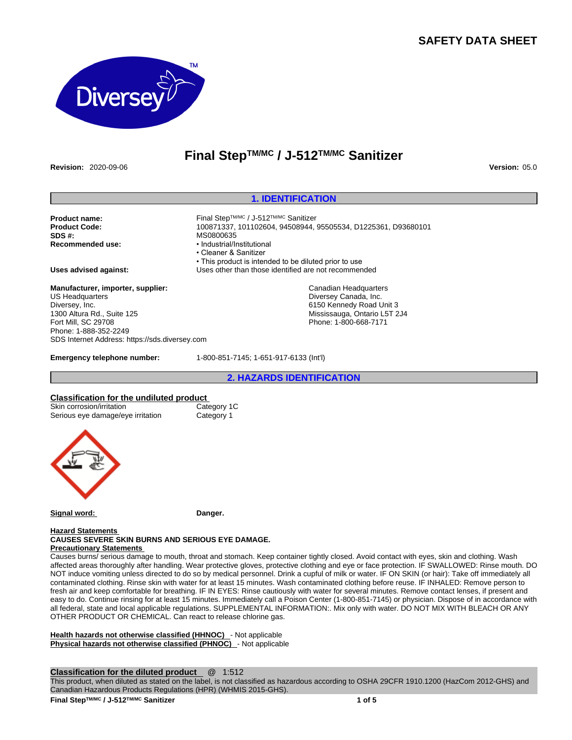# **SAFETY DATA SHEET**



# **Final StepTM/MC / J-512TM/MC Sanitizer**

**Revision:** 2020-09-06 **Version:** 05.0

## **1. IDENTIFICATION**

**Product name:** Final StepTM/MC / J-512TM/MC Sanitizer **SDS #: MS0800635**<br> **Recommended use: and the system of the MS0800635** 

**Product Code:** 100871337, 101102604, 94508944, 95505534, D1225361, D93680101 • Industrial/Institutional • Cleaner & Sanitizer • This product is intended to be diluted prior to use **Uses advised against:** Uses other than those identified are not recommended

> Canadian Headquarters Diversey Canada, Inc. 6150 Kennedy Road Unit 3 Mississauga, Ontario L5T 2J4 Phone: 1-800-668-7171

**Manufacturer, importer, supplier:** US Headquarters Diversey, Inc. 1300 Altura Rd., Suite 125 Fort Mill, SC 29708 Phone: 1-888-352-2249 SDS Internet Address: https://sds.diversey.com

**Emergency telephone number:** 1-800-851-7145; 1-651-917-6133 (Int'l)

**2. HAZARDS IDENTIFICATION**

#### **Classification for the undiluted product**

| Skin corrosion/irritation         | Category 1C |  |
|-----------------------------------|-------------|--|
| Serious eye damage/eye irritation | Category 1  |  |



**Signal word: Danger.**

#### **Hazard Statements CAUSES SEVERE SKIN BURNS AND SERIOUS EYE DAMAGE. Precautionary Statements**

Causes burns/ serious damage to mouth, throat and stomach. Keep container tightly closed. Avoid contact with eyes, skin and clothing. Wash affected areas thoroughly after handling. Wear protective gloves, protective clothing and eye or face protection. IF SWALLOWED: Rinse mouth. DO NOT induce vomiting unless directed to do so by medical personnel. Drink a cupful of milk or water. IF ON SKIN (or hair): Take off immediately all contaminated clothing. Rinse skin with water for at least 15 minutes. Wash contaminated clothing before reuse. IF INHALED: Remove person to fresh air and keep comfortable for breathing. IF IN EYES: Rinse cautiously with water for several minutes. Remove contact lenses, if present and easy to do. Continue rinsing for at least 15 minutes. Immediately call a Poison Center (1-800-851-7145) or physician. Dispose of in accordance with all federal, state and local applicable regulations. SUPPLEMENTAL INFORMATION:. Mix only with water. DO NOT MIX WITH BLEACH OR ANY OTHER PRODUCT OR CHEMICAL. Can react to release chlorine gas.

**Health hazards not otherwise classified (HHNOC)** - Not applicable **Physical hazards not otherwise classified (PHNOC)** - Not applicable

**Classification for the diluted product** @ 1:512

This product, when diluted as stated on the label, is not classified as hazardous according to OSHA 29CFR 1910.1200 (HazCom 2012-GHS) and Canadian Hazardous Products Regulations (HPR) (WHMIS 2015-GHS).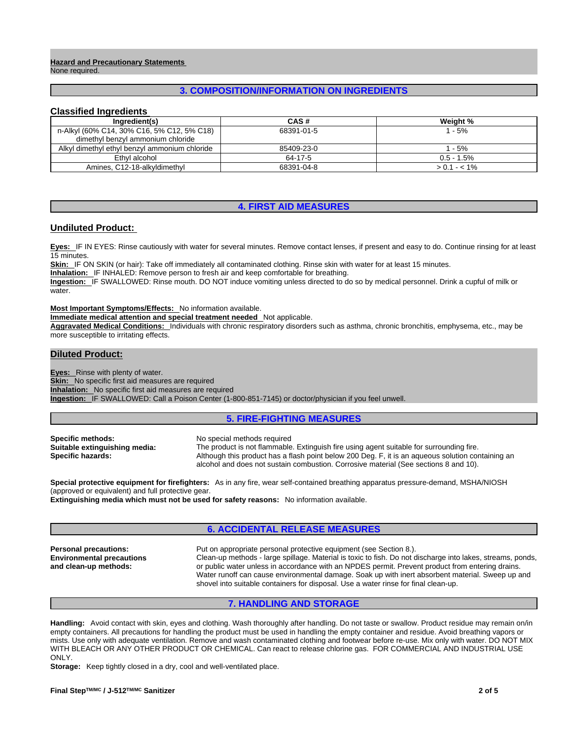#### **Hazard and Precautionary Statements**  None required.

# **3. COMPOSITION/INFORMATION ON INGREDIENTS**

## **Classified Ingredients**

| Ingredient(s)                                 | CAS#       | Weight %      |
|-----------------------------------------------|------------|---------------|
| n-Alkyl (60% C14, 30% C16, 5% C12, 5% C18)    | 68391-01-5 | 1 - 5%        |
| dimethyl benzyl ammonium chloride             |            |               |
| Alkyl dimethyl ethyl benzyl ammonium chloride | 85409-23-0 | 1 - 5%        |
| Ethyl alcohol                                 | 64-17-5    | $0.5 - 1.5\%$ |
| Amines, C12-18-alkyldimethyl                  | 68391-04-8 | $> 0.1 - 1\%$ |

# **4. FIRST AID MEASURES**

### **Undiluted Product:**

**Eyes:** IF IN EYES: Rinse cautiously with water for several minutes. Remove contact lenses, if present and easy to do. Continue rinsing for at least 15 minutes.

**Skin:** IF ON SKIN (or hair): Take off immediately all contaminated clothing. Rinse skin with water for at least 15 minutes.

**Inhalation:** IF INHALED: Remove person to fresh air and keep comfortable for breathing.

**Ingestion:** IF SWALLOWED: Rinse mouth. DO NOT induce vomiting unless directed to do so by medical personnel. Drink a cupful of milk or water.

**Most Important Symptoms/Effects:** No information available.

**Immediate medical attention and special treatment needed** Not applicable.

**Aggravated Medical Conditions:** Individuals with chronic respiratory disorders such as asthma, chronic bronchitis, emphysema, etc., may be more susceptible to irritating effects.

### **Diluted Product:**

**Eyes:** Rinse with plenty of water.

**Skin:** No specific first aid measures are required

**Inhalation:** No specific first aid measures are required

**Ingestion:** IF SWALLOWED: Call a Poison Center (1-800-851-7145) or doctor/physician if you feel unwell.

## **5. FIRE-FIGHTING MEASURES**

**Specific methods:** No special methods required **Suitable extinguishing media:** The product is not flammable

**Suitable extinguishing media:** The product is not flammable. Extinguish fire using agent suitable for surrounding fire.<br>**Specific hazards:** Although this product has a flash point below 200 Deg. F, it is an aqueous soluti **Specific hazards:** Although this product has a flash point below 200 Deg. F, it is an aqueous solution containing an alcohol and does not sustain combustion. Corrosive material (See sections 8 and 10).

**Special protective equipment for firefighters:** As in any fire, wear self-contained breathing apparatus pressure-demand, MSHA/NIOSH (approved or equivalent) and full protective gear.

**Extinguishing media which must not be used for safety reasons:** No information available.

# **6. ACCIDENTAL RELEASE MEASURES**

**Environmental precautions and clean-up methods:** 

**Personal precautions:** Put on appropriate personal protective equipment (see Section 8.). Clean-up methods - large spillage. Material is toxic to fish. Do not discharge into lakes, streams, ponds, or public water unless in accordance with an NPDES permit. Prevent product from entering drains. Water runoff can cause environmental damage. Soak up with inert absorbent material. Sweep up and shovel into suitable containers for disposal. Use a water rinse for final clean-up.

## **7. HANDLING AND STORAGE**

**Handling:** Avoid contact with skin, eyes and clothing. Wash thoroughly after handling. Do not taste or swallow. Product residue may remain on/in empty containers. All precautions for handling the product must be used in handling the empty container and residue. Avoid breathing vapors or mists. Use only with adequate ventilation. Remove and wash contaminated clothing and footwear before re-use. Mix only with water. DO NOT MIX WITH BLEACH OR ANY OTHER PRODUCT OR CHEMICAL. Can react to release chlorine gas. FOR COMMERCIAL AND INDUSTRIAL USE ONLY.

**Storage:** Keep tightly closed in a dry, cool and well-ventilated place.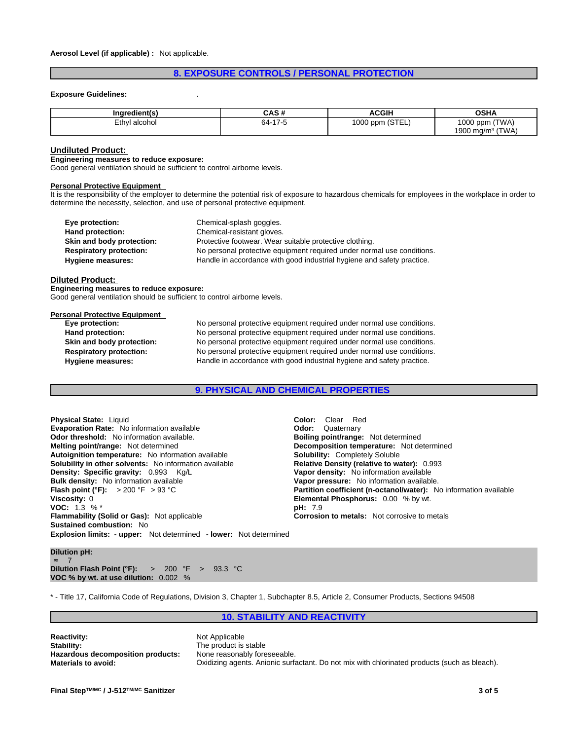## **8. EXPOSURE CONTROLS / PERSONAL PROTECTION**

#### **Exposure Guidelines:** .

| Inaredient(s` | CAS #       | <b>ACGIH</b>    | <b>OSHA</b>            |
|---------------|-------------|-----------------|------------------------|
| Ethyl alcohol | 47r<br>- 64 | 1000 ppm (STEL) | (TWA)<br>1000<br>u ppm |
|               |             |                 | (TWA)<br>1900 mg/m $3$ |

#### **Undiluted Product:**

#### **Engineering measures to reduce exposure:**

Good general ventilation should be sufficient to control airborne levels.

#### **Personal Protective Equipment**

It is the responsibility of the employer to determine the potential risk of exposure to hazardous chemicals for employees in the workplace in order to determine the necessity, selection, and use of personal protective equipment.

| Eye protection:                | Chemical-splash goggles.                                               |
|--------------------------------|------------------------------------------------------------------------|
| Hand protection:               | Chemical-resistant gloves.                                             |
| Skin and body protection:      | Protective footwear. Wear suitable protective clothing.                |
| <b>Respiratory protection:</b> | No personal protective equipment required under normal use conditions. |
| Hygiene measures:              | Handle in accordance with good industrial hygiene and safety practice. |

#### **Diluted Product:**

**Engineering measures to reduce exposure:**

Good general ventilation should be sufficient to control airborne levels.

# **Personal Protective Equipment**<br> **Eye protection:**

No personal protective equipment required under normal use conditions. **Hand protection:** No personal protective equipment required under normal use conditions. **Skin and body protection:** No personal protective equipment required under normal use conditions.<br>**Respiratory protection:** No personal protective equipment required under normal use conditions. **Respiratory protection:** No personal protective equipment required under normal use conditions.<br> **Hygiene measures:** Handle in accordance with good industrial hygiene and safety practice. Handle in accordance with good industrial hygiene and safety practice.

## **9. PHYSICAL AND CHEMICAL PROPERTIES**

**Explosion limits: - upper:** Not determined **- lower:** Not determined **Physical State:** Liquid **Color:** Clear Red **Evaporation Rate:** No information available **Configuration Configuration Cuaternary**<br> **Odor threshold:** No information available. **Configuration Bolling point/range:** Not determined **Odor threshold:** No information available. **Melting point/range:** Not determined **Decomposition temperature:** Not determined **Autoignition temperature:** Not information available **Solubility:** Completely Soluble **Autoignition temperature:** No information available **Solubility in other solvents:** No information available **Relative Density (relative to water):** 0.993 **Density: Specific gravity:** 0.993 Kg/L **Vapor density: No** information available **Density: Specific gravity: 0.993 Kg/L Bulk density:** No information available **Vapor pressure:** No information available. **Flash point (°F):** > 200 °F > 93 °C **Partition coefficient (n-octanol/water):** No information available **Viscosity:** 0<br> **Partition coefficient (n-octanol/water):** No information available **VOC:** 1.3 % \* **Flammability (Solid or Gas):** Not applicable **Corrosion to metals:** Not corrosive to metals **Sustained combustion:** No

**Elemental Phosphorus:** 0.00 % by wt.<br>pH: 7.9

# **Dilution pH:**<br>≈ 7

≈ 7 **Dilution Flash Point (°F):** > 200 °F > 93.3 °C **VOC % by wt. at use dilution:** 0.002 %

\* - Title 17, California Code of Regulations, Division 3, Chapter 1, Subchapter 8.5, Article 2, Consumer Products, Sections 94508

## **10. STABILITY AND REACTIVITY**

**Reactivity:** Not Applicable<br> **Stability:** The product is **Hazardous decomposition products:** 

The product is stable<br>None reasonably foreseeable. **Materials to avoid:** Oxidizing agents. Anionic surfactant. Do not mix with chlorinated products (such as bleach).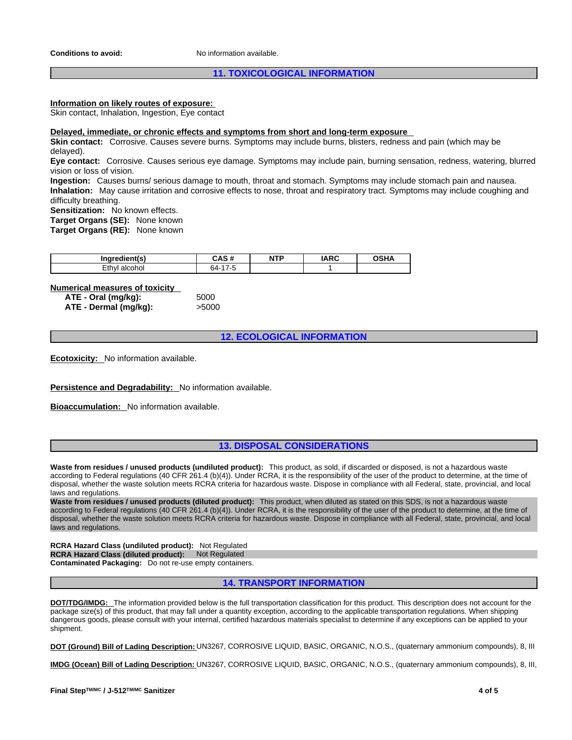## **11. TOXICOLOGICAL INFORMATION**

## **Information on likely routes of exposure:**

Skin contact, Inhalation, Ingestion, Eye contact

#### **Delayed, immediate, or chronic effects and symptoms from short and long-term exposure**

**Skin contact:** Corrosive. Causes severe burns. Symptoms may include burns, blisters, redness and pain (which may be delayed).

**Eye contact:** Corrosive. Causes serious eye damage. Symptoms may include pain, burning sensation, redness, watering, blurred vision or loss of vision.

**Ingestion:** Causes burns/ serious damage to mouth, throat and stomach. Symptoms may include stomach pain and nausea. **Inhalation:** May cause irritation and corrosive effects to nose, throat and respiratory tract. Symptoms may include coughing and difficulty breathing.

**Sensitization:** No known effects.

**Target Organs (SE):** None known

**Target Organs (RE):** None known

| $\cdot$ $\cdot$<br>iner i<br>----- | $\cdot$ . $\sim$<br><br>mэ<br>- 77 | .<br>NT<br>. | <b>IARC</b> | ឹកសារ<br>,,,, |
|------------------------------------|------------------------------------|--------------|-------------|---------------|
| -thvl<br>ак<br>лю<br>сu            | 54.                                |              |             |               |

# **Numerical measures of toxicity**<br>**ATF - Oral (mg/kg):** 5000

**ATE** - Oral (mg/kg): **ATE - Dermal (mg/kg):** >5000

**12. ECOLOGICAL INFORMATION**

**Ecotoxicity:** No information available.

**Persistence and Degradability:** No information available.

**Bioaccumulation:** No information available.

## **13. DISPOSAL CONSIDERATIONS**

**Waste from residues / unused products (undiluted product):** This product, as sold, if discarded or disposed, is not a hazardous waste according to Federal regulations (40 CFR 261.4 (b)(4)). Under RCRA, it is the responsibility of the user of the product to determine, at the time of disposal, whether the waste solution meets RCRA criteria for hazardous waste. Dispose in compliance with all Federal, state, provincial, and local laws and regulations.

**Waste from residues / unused products (diluted product):** This product, when diluted as stated on this SDS, is not a hazardous waste according to Federal regulations (40 CFR 261.4 (b)(4)). Under RCRA, it is the responsibility of the user of the product to determine, at the time of disposal, whether the waste solution meets RCRA criteria for hazardous waste. Dispose in compliance with all Federal, state, provincial, and local laws and regulations.

**RCRA Hazard Class (undiluted product):** Not Regulated **RCRA Hazard Class (diluted product):** Not Regulated **Contaminated Packaging:** Do not re-use empty containers.

# **14. TRANSPORT INFORMATION**

**DOT/TDG/IMDG:** The information provided below is the full transportation classification for this product. This description does not account for the package size(s) of this product, that may fall under a quantity exception, according to the applicable transportation regulations. When shipping dangerous goods, please consult with your internal, certified hazardous materials specialist to determine if any exceptions can be applied to your shipment.

**DOT (Ground) Bill of Lading Description:** UN3267, CORROSIVE LIQUID, BASIC, ORGANIC, N.O.S., (quaternary ammonium compounds), 8, III

**IMDG (Ocean) Bill of Lading Description:** UN3267, CORROSIVE LIQUID, BASIC, ORGANIC, N.O.S., (quaternary ammonium compounds), 8, III,